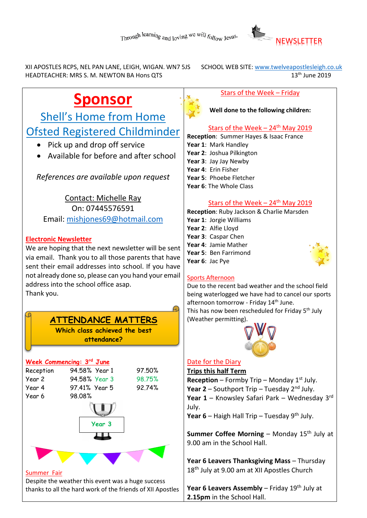

XII APOSTLES RCPS, NEL PAN LANE, LEIGH, WIGAN. WN7 5JS SCHOOL WEB SITE: www.twelveapostlesleigh.co.uk<br>HEADTEACHER: MRS S. M. NEWTON BA Hons OTS (1999) 13th June 2019 HEADTEACHER: MRS S. M. NEWTON BA Hons QTS

# **Sponsor**

Shell's Home from Home Ofsted Registered Childminder

- Pick up and drop off service
- Available for before and after school

*References are available upon request*

Contact: Michelle Ray On: 07445576591 Email: [mishjones69@hotmail.com](mailto:mishjones69@hotmail.com)

### **Electronic Newsletter**

We are hoping that the next newsletter will be sent via email. Thank you to all those parents that have sent their email addresses into school. If you have not already done so, please can you hand your email address into the school office asap. Thank you.

# **ATTENDANCE MATTERS**

**Which class achieved the best attendance?**

#### **Week Commencing: 3 rd June** Reception 94.58% Year 1 97.50% Year 2 94.58% Year 3 98.75%



#### Summer Fair

Despite the weather this event was a huge success thanks to all the hard work of the friends of XII Apostles

#### Stars of the Week – Friday

**Well done to the following children:**

## Stars of the Week  $-24$ <sup>th</sup> May 2019

**Reception**: Summer Hayes & Isaac France **Year 1**: Mark Handley **Year 2**: Joshua Pilkington **Year 3**: Jay Jay Newby **Year 4**: Erin Fisher **Year 5**: Phoebe Fletcher **Year 6**: The Whole Class

#### Stars of the Week –  $24<sup>th</sup>$  May 2019

**Reception**: Ruby Jackson & Charlie Marsden **Year 1**: Jorgie Williams **Year 2**: Alfie Lloyd **Year 3**: Caspar Chen **Year 4**: Jamie Mather **Year 5**: Ben Farrimond

### Sports Afternoon

**Year 6**: Jac Pye

Due to the recent bad weather and the school field being waterlogged we have had to cancel our sports afternoon tomorrow - Friday 14<sup>th</sup> June. This has now been rescheduled for Friday 5<sup>th</sup> July (Weather permitting).



## Date for the Diary

**Trips this half Term**

**Reception** – Formby Trip – Monday  $1^{st}$  July. **Year 2** – Southport Trip – Tuesday 2<sup>nd</sup> July. **Year 1** – Knowsley Safari Park – Wednesday 3rd July.

Year 6 – Haigh Hall Trip – Tuesday 9<sup>th</sup> July.

**Summer Coffee Morning** – Monday 15<sup>th</sup> July at 9.00 am in the School Hall.

**Year 6 Leavers Thanksgiving Mass** – Thursday 18<sup>th</sup> July at 9.00 am at XII Apostles Church

**Year 6 Leavers Assembly** – Friday 19<sup>th</sup> July at **2.15pm** in the School Hall.